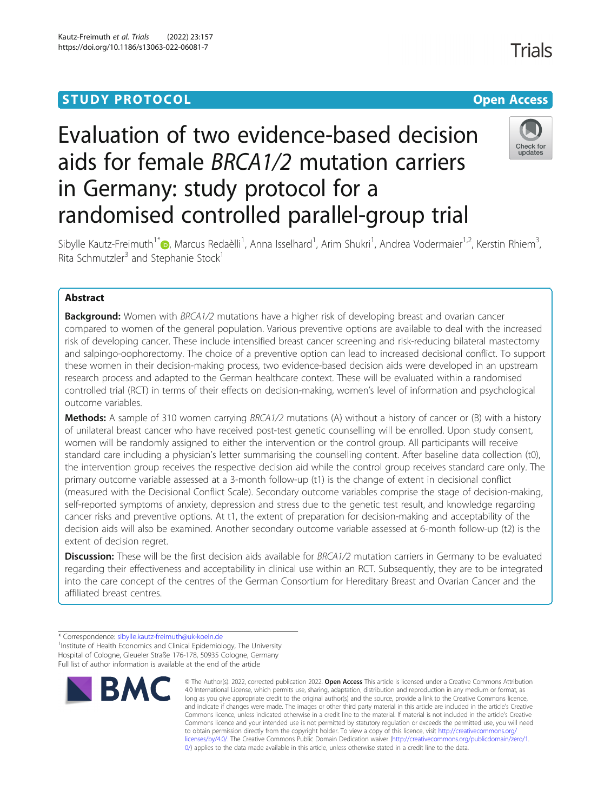## **STUDY PROTOCOL CONSUMING THE RESERVE ACCESS**

# Evaluation of two evidence-based decision aids for female BRCA1/2 mutation carriers in Germany: study protocol for a randomised controlled parallel-group trial



Sibylle Kautz-Freimuth<sup>1[\\*](http://orcid.org/0000-0002-0753-8490)</sup>®, Marcus Redaèlli<sup>1</sup>, Anna Isselhard<sup>1</sup>, Arim Shukri<sup>1</sup>, Andrea Vodermaier<sup>1,2</sup>, Kerstin Rhiem<sup>3</sup> , Rita Schmutzler<sup>3</sup> and Stephanie Stock<sup>1</sup>

## Abstract

**Background:** Women with BRCA1/2 mutations have a higher risk of developing breast and ovarian cancer compared to women of the general population. Various preventive options are available to deal with the increased risk of developing cancer. These include intensified breast cancer screening and risk-reducing bilateral mastectomy and salpingo-oophorectomy. The choice of a preventive option can lead to increased decisional conflict. To support these women in their decision-making process, two evidence-based decision aids were developed in an upstream research process and adapted to the German healthcare context. These will be evaluated within a randomised controlled trial (RCT) in terms of their effects on decision-making, women's level of information and psychological outcome variables.

Methods: A sample of 310 women carrying BRCA1/2 mutations (A) without a history of cancer or (B) with a history of unilateral breast cancer who have received post-test genetic counselling will be enrolled. Upon study consent, women will be randomly assigned to either the intervention or the control group. All participants will receive standard care including a physician's letter summarising the counselling content. After baseline data collection (t0), the intervention group receives the respective decision aid while the control group receives standard care only. The primary outcome variable assessed at a 3-month follow-up (t1) is the change of extent in decisional conflict (measured with the Decisional Conflict Scale). Secondary outcome variables comprise the stage of decision-making, self-reported symptoms of anxiety, depression and stress due to the genetic test result, and knowledge regarding cancer risks and preventive options. At t1, the extent of preparation for decision-making and acceptability of the decision aids will also be examined. Another secondary outcome variable assessed at 6-month follow-up (t2) is the extent of decision regret.

Discussion: These will be the first decision aids available for BRCA1/2 mutation carriers in Germany to be evaluated regarding their effectiveness and acceptability in clinical use within an RCT. Subsequently, they are to be integrated into the care concept of the centres of the German Consortium for Hereditary Breast and Ovarian Cancer and the affiliated breast centres.

<sup>\*</sup> Correspondence: [sibylle.kautz-freimuth@uk-koeln.de](mailto:sibylle.kautz-freimuth@uk-koeln.de) <sup>1</sup> <sup>1</sup> Institute of Health Economics and Clinical Epidemiology, The University Hospital of Cologne, Gleueler Straße 176-178, 50935 Cologne, Germany Full list of author information is available at the end of the article



<sup>©</sup> The Author(s). 2022, corrected publication 2022. Open Access This article is licensed under a Creative Commons Attribution 4.0 International License, which permits use, sharing, adaptation, distribution and reproduction in any medium or format, as long as you give appropriate credit to the original author(s) and the source, provide a link to the Creative Commons licence, and indicate if changes were made. The images or other third party material in this article are included in the article's Creative Commons licence, unless indicated otherwise in a credit line to the material. If material is not included in the article's Creative Commons licence and your intended use is not permitted by statutory regulation or exceeds the permitted use, you will need to obtain permission directly from the copyright holder. To view a copy of this licence, visit [http://creativecommons.org/](http://creativecommons.org/licenses/by/4.0/) [licenses/by/4.0/.](http://creativecommons.org/licenses/by/4.0/) The Creative Commons Public Domain Dedication waiver ([http://creativecommons.org/publicdomain/zero/1.](http://creativecommons.org/publicdomain/zero/1.0/) [0/\)](http://creativecommons.org/publicdomain/zero/1.0/) applies to the data made available in this article, unless otherwise stated in a credit line to the data.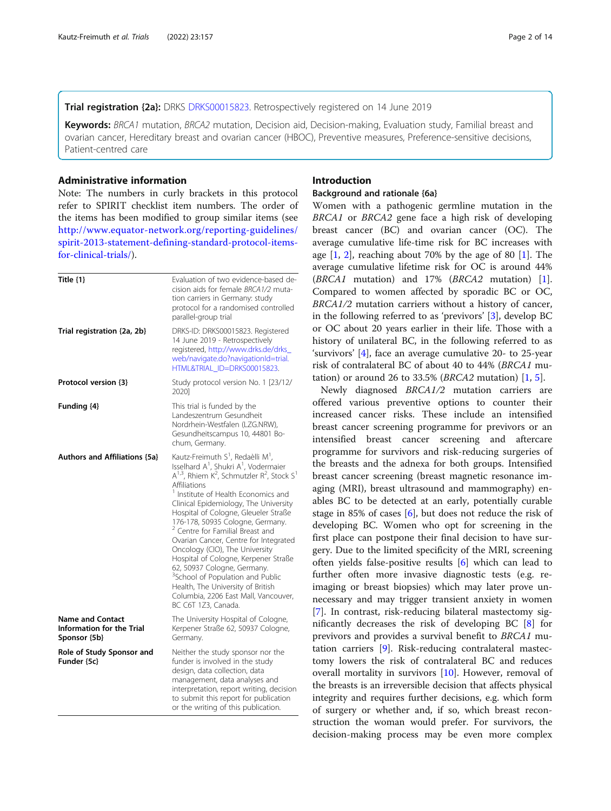## Trial registration {2a}: DRKS [DRKS00015823.](http://www.drks.de/drks_web/navigate.do?navigationId=trial.HTML&TRIAL_ID=DRKS00015823) Retrospectively registered on 14 June 2019

Keywords: BRCA1 mutation, BRCA2 mutation, Decision aid, Decision-making, Evaluation study, Familial breast and ovarian cancer, Hereditary breast and ovarian cancer (HBOC), Preventive measures, Preference-sensitive decisions, Patient-centred care

## Administrative information

Note: The numbers in curly brackets in this protocol refer to SPIRIT checklist item numbers. The order of the items has been modified to group similar items (see [http://www.equator-network.org/reporting-guidelines/](http://www.equator-network.org/reporting-guidelines/spirit-2013-statement-defining-standard-protocol-items-for-clinical-trials/) [spirit-2013-statement-defining-standard-protocol-items](http://www.equator-network.org/reporting-guidelines/spirit-2013-statement-defining-standard-protocol-items-for-clinical-trials/)[for-clinical-trials/](http://www.equator-network.org/reporting-guidelines/spirit-2013-statement-defining-standard-protocol-items-for-clinical-trials/)).

| Title $\{1\}$                                                        | Evaluation of two evidence-based de-<br>cision aids for female BRCA1/2 muta-<br>tion carriers in Germany: study<br>protocol for a randomised controlled<br>parallel-group trial                                                                                                                                                                                                                                                                                                                                                                                                                                                                                                                                                                  |  |  |
|----------------------------------------------------------------------|--------------------------------------------------------------------------------------------------------------------------------------------------------------------------------------------------------------------------------------------------------------------------------------------------------------------------------------------------------------------------------------------------------------------------------------------------------------------------------------------------------------------------------------------------------------------------------------------------------------------------------------------------------------------------------------------------------------------------------------------------|--|--|
| Trial registration {2a, 2b}                                          | DRKS-ID: DRKS00015823. Registered<br>14 June 2019 - Retrospectively<br>registered, http://www.drks.de/drks_<br>web/navigate.do?navigationId=trial.<br>HTML&TRIAL ID=DRKS00015823.                                                                                                                                                                                                                                                                                                                                                                                                                                                                                                                                                                |  |  |
| Protocol version {3}                                                 | Study protocol version No. 1 [23/12/<br>2020]                                                                                                                                                                                                                                                                                                                                                                                                                                                                                                                                                                                                                                                                                                    |  |  |
| Funding {4}                                                          | This trial is funded by the<br>Landeszentrum Gesundheit<br>Nordrhein-Westfalen (LZG.NRW),<br>Gesundheitscampus 10, 44801 Bo-<br>chum, Germany.                                                                                                                                                                                                                                                                                                                                                                                                                                                                                                                                                                                                   |  |  |
| <b>Authors and Affiliations {5a}</b>                                 | Kautz-Freimuth S <sup>1</sup> , Redaèlli M <sup>1</sup> ,<br>Isselhard A <sup>1</sup> , Shukri A <sup>1</sup> , Vodermaier<br>$A^{1,3}$ , Rhiem K <sup>2</sup> , Schmutzler R <sup>2</sup> , Stock S <sup>1</sup><br>Affiliations<br>Institute of Health Economics and<br>Clinical Epidemiology, The University<br>Hospital of Cologne, Gleueler Straße<br>176-178, 50935 Cologne, Germany.<br><sup>2</sup> Centre for Familial Breast and<br>Ovarian Cancer, Centre for Integrated<br>Oncology (CIO), The University<br>Hospital of Cologne, Kerpener Straße<br>62, 50937 Cologne, Germany.<br><sup>3</sup> School of Population and Public<br>Health, The University of British<br>Columbia, 2206 East Mall, Vancouver,<br>BC C6T 1Z3, Canada. |  |  |
| <b>Name and Contact</b><br>Information for the Trial<br>Sponsor {5b} | The University Hospital of Cologne,<br>Kerpener Straße 62, 50937 Cologne,<br>Germany.                                                                                                                                                                                                                                                                                                                                                                                                                                                                                                                                                                                                                                                            |  |  |
| Role of Study Sponsor and<br>Funder {5c}                             | Neither the study sponsor nor the<br>funder is involved in the study<br>design, data collection, data<br>management, data analyses and<br>interpretation, report writing, decision<br>to submit this report for publication<br>or the writing of this publication.                                                                                                                                                                                                                                                                                                                                                                                                                                                                               |  |  |

## Introduction

#### Background and rationale {6a}

Women with a pathogenic germline mutation in the BRCA1 or BRCA2 gene face a high risk of developing breast cancer (BC) and ovarian cancer (OC). The average cumulative life-time risk for BC increases with age  $[1, 2]$  $[1, 2]$  $[1, 2]$  $[1, 2]$  $[1, 2]$ , reaching about 70% by the age of 80  $[1]$  $[1]$ . The average cumulative lifetime risk for OC is around 44% (BRCA1 mutation) and 17% (BRCA2 mutation) [\[1](#page-11-0)]. Compared to women affected by sporadic BC or OC, BRCA1/2 mutation carriers without a history of cancer, in the following referred to as 'previvors' [\[3](#page-11-0)], develop BC or OC about 20 years earlier in their life. Those with a history of unilateral BC, in the following referred to as 'survivors' [[4\]](#page-11-0), face an average cumulative 20- to 25-year risk of contralateral BC of about 40 to 44% (BRCA1 mutation) or around 26 to 33.5% (*BRCA2* mutation)  $\begin{bmatrix} 1, 5 \end{bmatrix}$  $\begin{bmatrix} 1, 5 \end{bmatrix}$  $\begin{bmatrix} 1, 5 \end{bmatrix}$ .

Newly diagnosed BRCA1/2 mutation carriers are offered various preventive options to counter their increased cancer risks. These include an intensified breast cancer screening programme for previvors or an intensified breast cancer screening and aftercare programme for survivors and risk-reducing surgeries of the breasts and the adnexa for both groups. Intensified breast cancer screening (breast magnetic resonance imaging (MRI), breast ultrasound and mammography) enables BC to be detected at an early, potentially curable stage in 85% of cases [\[6](#page-11-0)], but does not reduce the risk of developing BC. Women who opt for screening in the first place can postpone their final decision to have surgery. Due to the limited specificity of the MRI, screening often yields false-positive results [\[6](#page-11-0)] which can lead to further often more invasive diagnostic tests (e.g. reimaging or breast biopsies) which may later prove unnecessary and may trigger transient anxiety in women [[7\]](#page-11-0). In contrast, risk-reducing bilateral mastectomy significantly decreases the risk of developing BC [[8](#page-11-0)] for previvors and provides a survival benefit to BRCA1 mutation carriers [[9\]](#page-11-0). Risk-reducing contralateral mastectomy lowers the risk of contralateral BC and reduces overall mortality in survivors [[10](#page-11-0)]. However, removal of the breasts is an irreversible decision that affects physical integrity and requires further decisions, e.g. which form of surgery or whether and, if so, which breast reconstruction the woman would prefer. For survivors, the decision-making process may be even more complex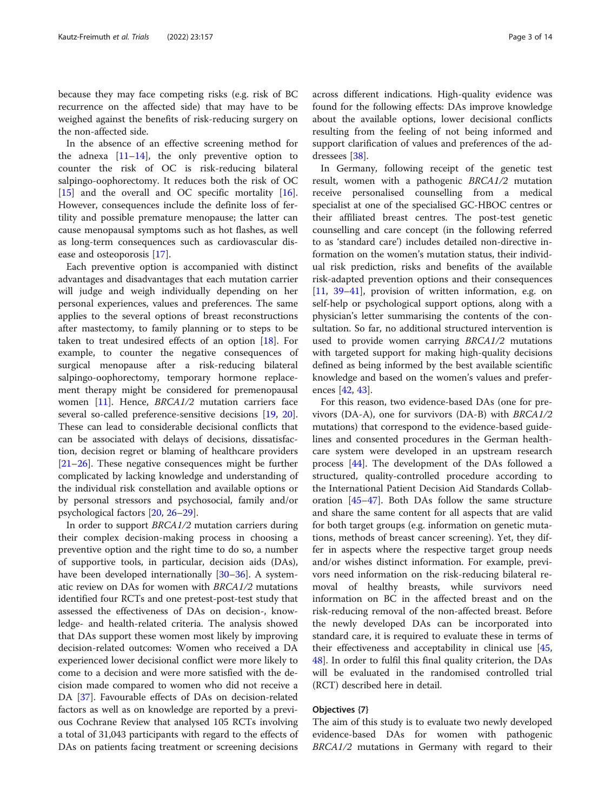because they may face competing risks (e.g. risk of BC recurrence on the affected side) that may have to be weighed against the benefits of risk-reducing surgery on the non-affected side.

In the absence of an effective screening method for the adnexa  $[11-14]$  $[11-14]$  $[11-14]$  $[11-14]$  $[11-14]$ , the only preventive option to counter the risk of OC is risk-reducing bilateral salpingo-oophorectomy. It reduces both the risk of OC [[15\]](#page-12-0) and the overall and OC specific mortality [\[16](#page-12-0)]. However, consequences include the definite loss of fertility and possible premature menopause; the latter can cause menopausal symptoms such as hot flashes, as well as long-term consequences such as cardiovascular disease and osteoporosis [[17](#page-12-0)].

Each preventive option is accompanied with distinct advantages and disadvantages that each mutation carrier will judge and weigh individually depending on her personal experiences, values and preferences. The same applies to the several options of breast reconstructions after mastectomy, to family planning or to steps to be taken to treat undesired effects of an option [[18\]](#page-12-0). For example, to counter the negative consequences of surgical menopause after a risk-reducing bilateral salpingo-oophorectomy, temporary hormone replacement therapy might be considered for premenopausal women [[11](#page-11-0)]. Hence, BRCA1/2 mutation carriers face several so-called preference-sensitive decisions [\[19,](#page-12-0) [20](#page-12-0)]. These can lead to considerable decisional conflicts that can be associated with delays of decisions, dissatisfaction, decision regret or blaming of healthcare providers [[21](#page-12-0)–[26](#page-12-0)]. These negative consequences might be further complicated by lacking knowledge and understanding of the individual risk constellation and available options or by personal stressors and psychosocial, family and/or psychological factors [[20](#page-12-0), [26](#page-12-0)–[29](#page-12-0)].

In order to support BRCA1/2 mutation carriers during their complex decision-making process in choosing a preventive option and the right time to do so, a number of supportive tools, in particular, decision aids (DAs), have been developed internationally [[30](#page-12-0)–[36](#page-12-0)]. A systematic review on DAs for women with BRCA1/2 mutations identified four RCTs and one pretest-post-test study that assessed the effectiveness of DAs on decision-, knowledge- and health-related criteria. The analysis showed that DAs support these women most likely by improving decision-related outcomes: Women who received a DA experienced lower decisional conflict were more likely to come to a decision and were more satisfied with the decision made compared to women who did not receive a DA [\[37](#page-12-0)]. Favourable effects of DAs on decision-related factors as well as on knowledge are reported by a previous Cochrane Review that analysed 105 RCTs involving a total of 31,043 participants with regard to the effects of DAs on patients facing treatment or screening decisions across different indications. High-quality evidence was found for the following effects: DAs improve knowledge about the available options, lower decisional conflicts resulting from the feeling of not being informed and support clarification of values and preferences of the addressees [\[38](#page-12-0)].

In Germany, following receipt of the genetic test result, women with a pathogenic BRCA1/2 mutation receive personalised counselling from a medical specialist at one of the specialised GC-HBOC centres or their affiliated breast centres. The post-test genetic counselling and care concept (in the following referred to as 'standard care') includes detailed non-directive information on the women's mutation status, their individual risk prediction, risks and benefits of the available risk-adapted prevention options and their consequences [[11,](#page-11-0) [39](#page-12-0)–[41\]](#page-12-0), provision of written information, e.g. on self-help or psychological support options, along with a physician's letter summarising the contents of the consultation. So far, no additional structured intervention is used to provide women carrying BRCA1/2 mutations with targeted support for making high-quality decisions defined as being informed by the best available scientific knowledge and based on the women's values and preferences [\[42](#page-12-0), [43\]](#page-12-0).

For this reason, two evidence-based DAs (one for previvors (DA-A), one for survivors (DA-B) with BRCA1/2 mutations) that correspond to the evidence-based guidelines and consented procedures in the German healthcare system were developed in an upstream research process [\[44\]](#page-12-0). The development of the DAs followed a structured, quality-controlled procedure according to the International Patient Decision Aid Standards Collaboration [[45](#page-12-0)–[47](#page-12-0)]. Both DAs follow the same structure and share the same content for all aspects that are valid for both target groups (e.g. information on genetic mutations, methods of breast cancer screening). Yet, they differ in aspects where the respective target group needs and/or wishes distinct information. For example, previvors need information on the risk-reducing bilateral removal of healthy breasts, while survivors need information on BC in the affected breast and on the risk-reducing removal of the non-affected breast. Before the newly developed DAs can be incorporated into standard care, it is required to evaluate these in terms of their effectiveness and acceptability in clinical use [[45](#page-12-0), [48\]](#page-12-0). In order to fulfil this final quality criterion, the DAs will be evaluated in the randomised controlled trial (RCT) described here in detail.

## Objectives {7}

The aim of this study is to evaluate two newly developed evidence-based DAs for women with pathogenic BRCA1/2 mutations in Germany with regard to their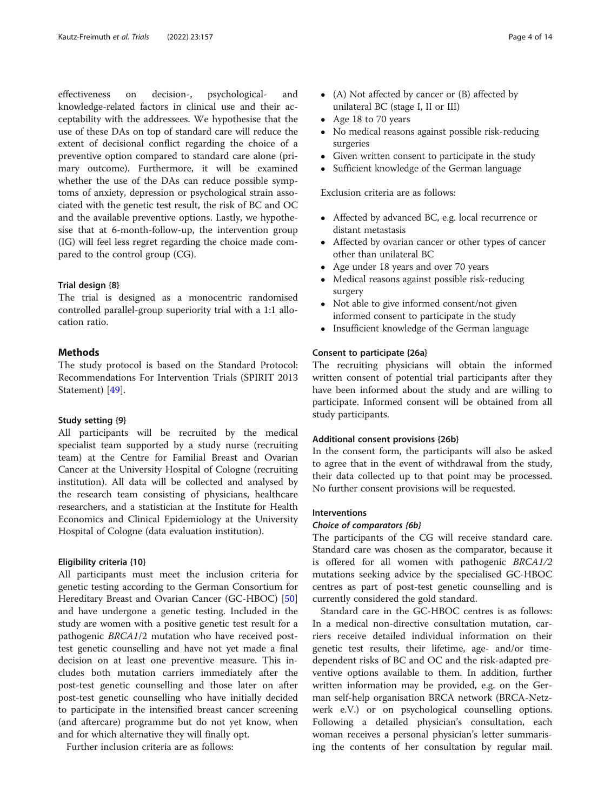effectiveness on decision-, psychological- and knowledge-related factors in clinical use and their acceptability with the addressees. We hypothesise that the use of these DAs on top of standard care will reduce the extent of decisional conflict regarding the choice of a preventive option compared to standard care alone (primary outcome). Furthermore, it will be examined whether the use of the DAs can reduce possible symptoms of anxiety, depression or psychological strain associated with the genetic test result, the risk of BC and OC and the available preventive options. Lastly, we hypothesise that at 6-month-follow-up, the intervention group (IG) will feel less regret regarding the choice made compared to the control group (CG).

#### Trial design {8}

The trial is designed as a monocentric randomised controlled parallel-group superiority trial with a 1:1 allocation ratio.

## **Methods**

The study protocol is based on the Standard Protocol: Recommendations For Intervention Trials (SPIRIT 2013 Statement) [\[49](#page-12-0)].

#### Study setting {9}

All participants will be recruited by the medical specialist team supported by a study nurse (recruiting team) at the Centre for Familial Breast and Ovarian Cancer at the University Hospital of Cologne (recruiting institution). All data will be collected and analysed by the research team consisting of physicians, healthcare researchers, and a statistician at the Institute for Health Economics and Clinical Epidemiology at the University Hospital of Cologne (data evaluation institution).

## Eligibility criteria {10}

All participants must meet the inclusion criteria for genetic testing according to the German Consortium for Hereditary Breast and Ovarian Cancer (GC-HBOC) [[50](#page-12-0)] and have undergone a genetic testing. Included in the study are women with a positive genetic test result for a pathogenic BRCA1/2 mutation who have received posttest genetic counselling and have not yet made a final decision on at least one preventive measure. This includes both mutation carriers immediately after the post-test genetic counselling and those later on after post-test genetic counselling who have initially decided to participate in the intensified breast cancer screening (and aftercare) programme but do not yet know, when and for which alternative they will finally opt.

Further inclusion criteria are as follows:

- (A) Not affected by cancer or (B) affected by unilateral BC (stage I, II or III)
- Age 18 to 70 years
- No medical reasons against possible risk-reducing surgeries
- Given written consent to participate in the study<br>• Sufficient knowledge of the German language
- Sufficient knowledge of the German language

Exclusion criteria are as follows:

- Affected by advanced BC, e.g. local recurrence or distant metastasis
- Affected by ovarian cancer or other types of cancer other than unilateral BC
- Age under 18 years and over 70 years
- Medical reasons against possible risk-reducing surgery
- Not able to give informed consent/not given informed consent to participate in the study
- Insufficient knowledge of the German language

## Consent to participate {26a}

The recruiting physicians will obtain the informed written consent of potential trial participants after they have been informed about the study and are willing to participate. Informed consent will be obtained from all study participants.

#### Additional consent provisions {26b}

In the consent form, the participants will also be asked to agree that in the event of withdrawal from the study, their data collected up to that point may be processed. No further consent provisions will be requested.

## Interventions

## Choice of comparators {6b}

The participants of the CG will receive standard care. Standard care was chosen as the comparator, because it is offered for all women with pathogenic BRCA1/2 mutations seeking advice by the specialised GC-HBOC centres as part of post-test genetic counselling and is currently considered the gold standard.

Standard care in the GC-HBOC centres is as follows: In a medical non-directive consultation mutation, carriers receive detailed individual information on their genetic test results, their lifetime, age- and/or timedependent risks of BC and OC and the risk-adapted preventive options available to them. In addition, further written information may be provided, e.g. on the German self-help organisation BRCA network (BRCA-Netzwerk e.V.) or on psychological counselling options. Following a detailed physician's consultation, each woman receives a personal physician's letter summarising the contents of her consultation by regular mail.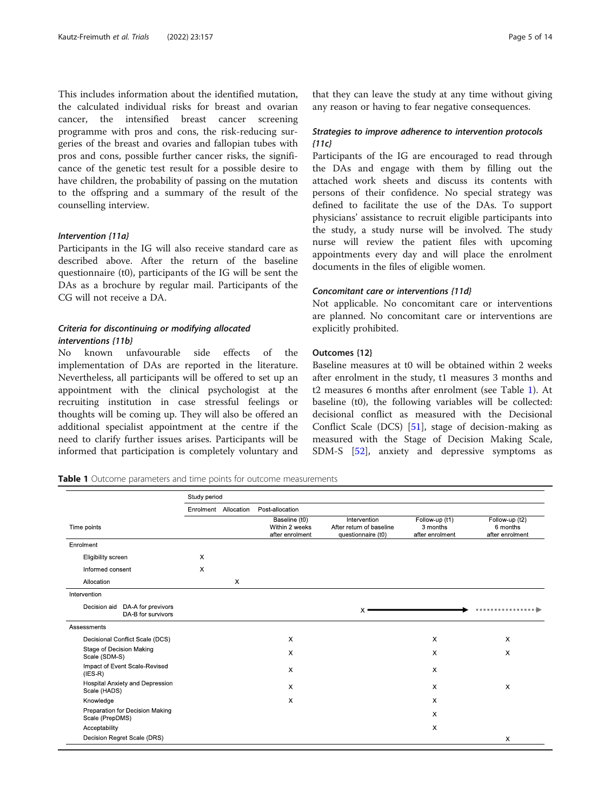<span id="page-4-0"></span>This includes information about the identified mutation, the calculated individual risks for breast and ovarian cancer, the intensified breast cancer screening programme with pros and cons, the risk-reducing surgeries of the breast and ovaries and fallopian tubes with pros and cons, possible further cancer risks, the significance of the genetic test result for a possible desire to have children, the probability of passing on the mutation to the offspring and a summary of the result of the counselling interview.

## Intervention {11a}

Participants in the IG will also receive standard care as described above. After the return of the baseline questionnaire (t0), participants of the IG will be sent the DAs as a brochure by regular mail. Participants of the CG will not receive a DA.

## Criteria for discontinuing or modifying allocated interventions {11b}

No known unfavourable side effects of the implementation of DAs are reported in the literature. Nevertheless, all participants will be offered to set up an appointment with the clinical psychologist at the recruiting institution in case stressful feelings or thoughts will be coming up. They will also be offered an additional specialist appointment at the centre if the need to clarify further issues arises. Participants will be informed that participation is completely voluntary and

that they can leave the study at any time without giving any reason or having to fear negative consequences.

## Strategies to improve adherence to intervention protocols  ${11c}$

Participants of the IG are encouraged to read through the DAs and engage with them by filling out the attached work sheets and discuss its contents with persons of their confidence. No special strategy was defined to facilitate the use of the DAs. To support physicians' assistance to recruit eligible participants into the study, a study nurse will be involved. The study nurse will review the patient files with upcoming appointments every day and will place the enrolment documents in the files of eligible women.

## Concomitant care or interventions {11d}

Not applicable. No concomitant care or interventions are planned. No concomitant care or interventions are explicitly prohibited.

## Outcomes {12}

Baseline measures at t0 will be obtained within 2 weeks after enrolment in the study, t1 measures 3 months and t2 measures 6 months after enrolment (see Table 1). At baseline (t0), the following variables will be collected: decisional conflict as measured with the Decisional Conflict Scale (DCS) [[51\]](#page-13-0), stage of decision-making as measured with the Stage of Decision Making Scale, SDM-S [[52\]](#page-13-0), anxiety and depressive symptoms as

Table 1 Outcome parameters and time points for outcome measurements

|                                                          | Study period |                      |                                                    |                                                                |                                               |                                               |  |
|----------------------------------------------------------|--------------|----------------------|----------------------------------------------------|----------------------------------------------------------------|-----------------------------------------------|-----------------------------------------------|--|
|                                                          |              | Enrolment Allocation | Post-allocation                                    |                                                                |                                               |                                               |  |
| Time points                                              |              |                      | Baseline (t0)<br>Within 2 weeks<br>after enrolment | Intervention<br>After return of baseline<br>questionnaire (t0) | Follow-up (t1)<br>3 months<br>after enrolment | Follow-up (t2)<br>6 months<br>after enrolment |  |
| Enrolment                                                |              |                      |                                                    |                                                                |                                               |                                               |  |
| Eligibility screen                                       | X            |                      |                                                    |                                                                |                                               |                                               |  |
| Informed consent                                         | X            |                      |                                                    |                                                                |                                               |                                               |  |
| Allocation                                               |              | X                    |                                                    |                                                                |                                               |                                               |  |
| Intervention                                             |              |                      |                                                    |                                                                |                                               |                                               |  |
| DA-A for previvors<br>Decision aid<br>DA-B for survivors |              |                      |                                                    | X                                                              |                                               |                                               |  |
| Assessments                                              |              |                      |                                                    |                                                                |                                               |                                               |  |
| Decisional Conflict Scale (DCS)                          |              |                      | X                                                  |                                                                | X                                             | X                                             |  |
| Stage of Decision Making<br>Scale (SDM-S)                |              |                      | X                                                  |                                                                | $\boldsymbol{\mathsf{X}}$                     | X                                             |  |
| Impact of Event Scale-Revised<br>(IES R)                 |              |                      | X                                                  |                                                                | X                                             |                                               |  |
| Hospital Anxiety and Depression<br>Scale (HADS)          |              |                      | X                                                  |                                                                | $\times$                                      | X                                             |  |
| Knowledge                                                |              |                      | X                                                  |                                                                | X                                             |                                               |  |
| Preparation for Decision Making<br>Scale (PrepDMS)       |              |                      |                                                    |                                                                | $\times$                                      |                                               |  |
| Acceptability                                            |              |                      |                                                    |                                                                | $\mathsf{x}$                                  |                                               |  |
| Decision Regret Scale (DRS)                              |              |                      |                                                    |                                                                |                                               | X                                             |  |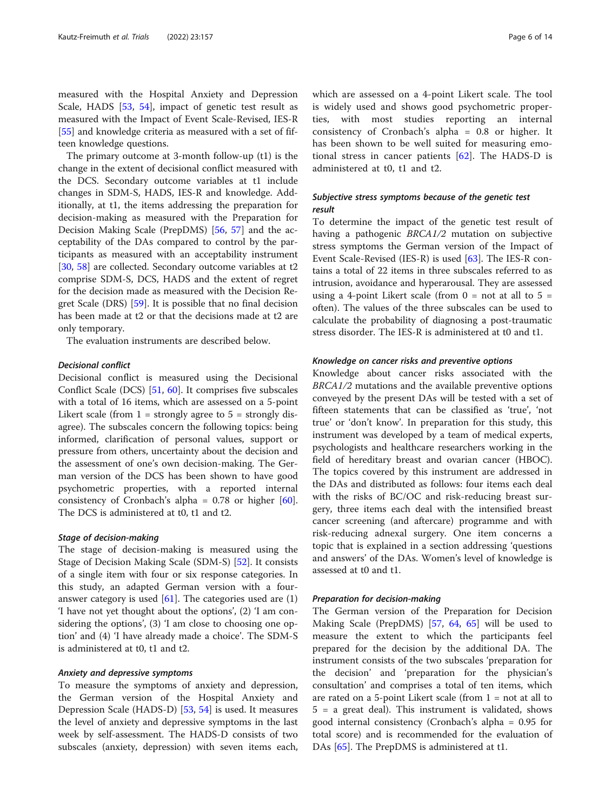measured with the Hospital Anxiety and Depression Scale, HADS [\[53,](#page-13-0) [54\]](#page-13-0), impact of genetic test result as measured with the Impact of Event Scale-Revised, IES-R [[55\]](#page-13-0) and knowledge criteria as measured with a set of fifteen knowledge questions.

The primary outcome at 3-month follow-up (t1) is the change in the extent of decisional conflict measured with the DCS. Secondary outcome variables at t1 include changes in SDM-S, HADS, IES-R and knowledge. Additionally, at t1, the items addressing the preparation for decision-making as measured with the Preparation for Decision Making Scale (PrepDMS) [\[56](#page-13-0), [57](#page-13-0)] and the acceptability of the DAs compared to control by the participants as measured with an acceptability instrument [[30,](#page-12-0) [58\]](#page-13-0) are collected. Secondary outcome variables at t2 comprise SDM-S, DCS, HADS and the extent of regret for the decision made as measured with the Decision Regret Scale (DRS) [\[59](#page-13-0)]. It is possible that no final decision has been made at t2 or that the decisions made at t2 are only temporary.

The evaluation instruments are described below.

#### Decisional conflict

Decisional conflict is measured using the Decisional Conflict Scale (DCS) [\[51,](#page-13-0) [60](#page-13-0)]. It comprises five subscales with a total of 16 items, which are assessed on a 5-point Likert scale (from  $1 =$  strongly agree to  $5 =$  strongly disagree). The subscales concern the following topics: being informed, clarification of personal values, support or pressure from others, uncertainty about the decision and the assessment of one's own decision-making. The German version of the DCS has been shown to have good psychometric properties, with a reported internal consistency of Cronbach's alpha =  $0.78$  or higher [\[60](#page-13-0)]. The DCS is administered at t0, t1 and t2.

## Stage of decision-making

The stage of decision-making is measured using the Stage of Decision Making Scale (SDM-S) [[52\]](#page-13-0). It consists of a single item with four or six response categories. In this study, an adapted German version with a fouranswer category is used  $[61]$  $[61]$ . The categories used are  $(1)$ 'I have not yet thought about the options', (2) 'I am considering the options', (3) 'I am close to choosing one option' and (4) 'I have already made a choice'. The SDM-S is administered at t0, t1 and t2.

#### Anxiety and depressive symptoms

To measure the symptoms of anxiety and depression, the German version of the Hospital Anxiety and Depression Scale (HADS-D) [[53,](#page-13-0) [54\]](#page-13-0) is used. It measures the level of anxiety and depressive symptoms in the last week by self-assessment. The HADS-D consists of two subscales (anxiety, depression) with seven items each, which are assessed on a 4-point Likert scale. The tool is widely used and shows good psychometric properties, with most studies reporting an internal consistency of Cronbach's alpha = 0.8 or higher. It has been shown to be well suited for measuring emotional stress in cancer patients  $[62]$ . The HADS-D is administered at t0, t1 and t2.

## Subjective stress symptoms because of the genetic test result

To determine the impact of the genetic test result of having a pathogenic BRCA1/2 mutation on subjective stress symptoms the German version of the Impact of Event Scale-Revised (IES-R) is used [\[63\]](#page-13-0). The IES-R contains a total of 22 items in three subscales referred to as intrusion, avoidance and hyperarousal. They are assessed using a 4-point Likert scale (from  $0 = \text{not at all to } 5 =$ often). The values of the three subscales can be used to calculate the probability of diagnosing a post-traumatic stress disorder. The IES-R is administered at t0 and t1.

#### Knowledge on cancer risks and preventive options

Knowledge about cancer risks associated with the BRCA1/2 mutations and the available preventive options conveyed by the present DAs will be tested with a set of fifteen statements that can be classified as 'true', 'not true' or 'don't know'. In preparation for this study, this instrument was developed by a team of medical experts, psychologists and healthcare researchers working in the field of hereditary breast and ovarian cancer (HBOC). The topics covered by this instrument are addressed in the DAs and distributed as follows: four items each deal with the risks of BC/OC and risk-reducing breast surgery, three items each deal with the intensified breast cancer screening (and aftercare) programme and with risk-reducing adnexal surgery. One item concerns a topic that is explained in a section addressing 'questions and answers' of the DAs. Women's level of knowledge is assessed at t0 and t1.

#### Preparation for decision-making

The German version of the Preparation for Decision Making Scale (PrepDMS) [[57,](#page-13-0) [64,](#page-13-0) [65\]](#page-13-0) will be used to measure the extent to which the participants feel prepared for the decision by the additional DA. The instrument consists of the two subscales 'preparation for the decision' and 'preparation for the physician's consultation' and comprises a total of ten items, which are rated on a 5-point Likert scale (from 1 = not at all to 5 = a great deal). This instrument is validated, shows good internal consistency (Cronbach's alpha = 0.95 for total score) and is recommended for the evaluation of DAs [[65\]](#page-13-0). The PrepDMS is administered at t1.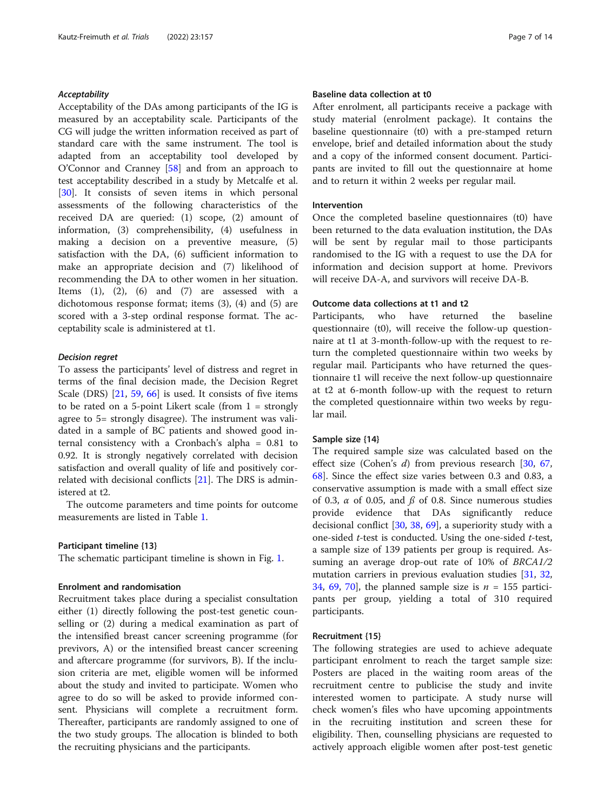#### Acceptability

Acceptability of the DAs among participants of the IG is measured by an acceptability scale. Participants of the CG will judge the written information received as part of standard care with the same instrument. The tool is adapted from an acceptability tool developed by O'Connor and Cranney [[58\]](#page-13-0) and from an approach to test acceptability described in a study by Metcalfe et al. [[30\]](#page-12-0). It consists of seven items in which personal assessments of the following characteristics of the received DA are queried: (1) scope, (2) amount of information, (3) comprehensibility, (4) usefulness in making a decision on a preventive measure, (5) satisfaction with the DA, (6) sufficient information to make an appropriate decision and (7) likelihood of recommending the DA to other women in her situation. Items  $(1)$ ,  $(2)$ ,  $(6)$  and  $(7)$  are assessed with a dichotomous response format; items (3), (4) and (5) are scored with a 3-step ordinal response format. The acceptability scale is administered at t1.

#### Decision regret

To assess the participants' level of distress and regret in terms of the final decision made, the Decision Regret Scale (DRS) [\[21,](#page-12-0) [59](#page-13-0), [66\]](#page-13-0) is used. It consists of five items to be rated on a 5-point Likert scale (from  $1 =$  strongly agree to 5= strongly disagree). The instrument was validated in a sample of BC patients and showed good internal consistency with a Cronbach's alpha = 0.81 to 0.92. It is strongly negatively correlated with decision satisfaction and overall quality of life and positively correlated with decisional conflicts [[21\]](#page-12-0). The DRS is administered at t2.

The outcome parameters and time points for outcome measurements are listed in Table [1.](#page-4-0)

#### Participant timeline {13}

The schematic participant timeline is shown in Fig. [1.](#page-7-0)

## Enrolment and randomisation

Recruitment takes place during a specialist consultation either (1) directly following the post-test genetic counselling or (2) during a medical examination as part of the intensified breast cancer screening programme (for previvors, A) or the intensified breast cancer screening and aftercare programme (for survivors, B). If the inclusion criteria are met, eligible women will be informed about the study and invited to participate. Women who agree to do so will be asked to provide informed consent. Physicians will complete a recruitment form. Thereafter, participants are randomly assigned to one of the two study groups. The allocation is blinded to both the recruiting physicians and the participants.

## Baseline data collection at t0

After enrolment, all participants receive a package with study material (enrolment package). It contains the baseline questionnaire (t0) with a pre-stamped return envelope, brief and detailed information about the study and a copy of the informed consent document. Participants are invited to fill out the questionnaire at home and to return it within 2 weeks per regular mail.

## Intervention

Once the completed baseline questionnaires (t0) have been returned to the data evaluation institution, the DAs will be sent by regular mail to those participants randomised to the IG with a request to use the DA for information and decision support at home. Previvors will receive DA-A, and survivors will receive DA-B.

## Outcome data collections at t1 and t2

Participants, who have returned the baseline questionnaire (t0), will receive the follow-up questionnaire at t1 at 3-month-follow-up with the request to return the completed questionnaire within two weeks by regular mail. Participants who have returned the questionnaire t1 will receive the next follow-up questionnaire at t2 at 6-month follow-up with the request to return the completed questionnaire within two weeks by regular mail.

## Sample size {14}

The required sample size was calculated based on the effect size (Cohen's d) from previous research [[30,](#page-12-0) [67](#page-13-0), [68\]](#page-13-0). Since the effect size varies between 0.3 and 0.83, a conservative assumption is made with a small effect size of 0.3,  $\alpha$  of 0.05, and  $\beta$  of 0.8. Since numerous studies provide evidence that DAs significantly reduce decisional conflict [\[30,](#page-12-0) [38](#page-12-0), [69](#page-13-0)], a superiority study with a one-sided t-test is conducted. Using the one-sided t-test, a sample size of 139 patients per group is required. Assuming an average drop-out rate of 10% of BRCA1/2 mutation carriers in previous evaluation studies [[31,](#page-12-0) [32](#page-12-0), [34,](#page-12-0) [69,](#page-13-0) [70\]](#page-13-0), the planned sample size is  $n = 155$  participants per group, yielding a total of 310 required participants.

## Recruitment {15}

The following strategies are used to achieve adequate participant enrolment to reach the target sample size: Posters are placed in the waiting room areas of the recruitment centre to publicise the study and invite interested women to participate. A study nurse will check women's files who have upcoming appointments in the recruiting institution and screen these for eligibility. Then, counselling physicians are requested to actively approach eligible women after post-test genetic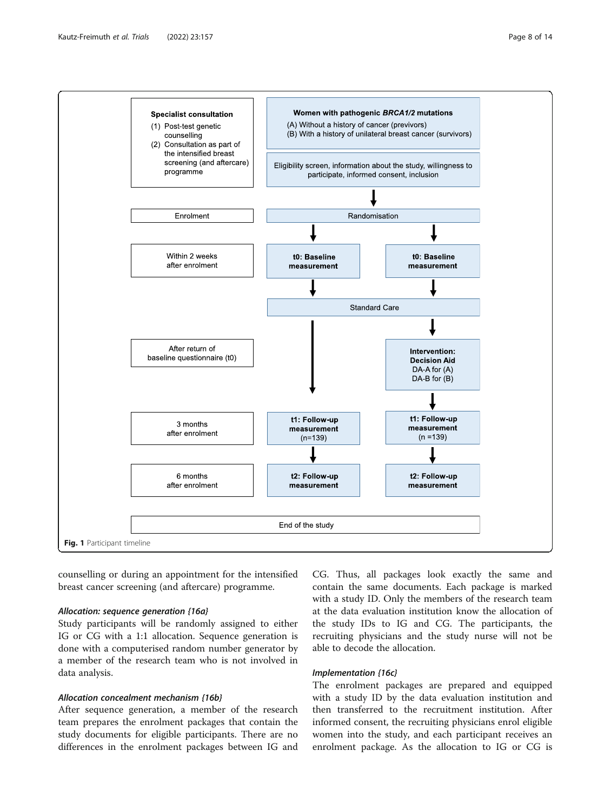<span id="page-7-0"></span>

counselling or during an appointment for the intensified breast cancer screening (and aftercare) programme.

#### Allocation: sequence generation {16a}

Study participants will be randomly assigned to either IG or CG with a 1:1 allocation. Sequence generation is done with a computerised random number generator by a member of the research team who is not involved in data analysis.

## Allocation concealment mechanism {16b}

After sequence generation, a member of the research team prepares the enrolment packages that contain the study documents for eligible participants. There are no differences in the enrolment packages between IG and

CG. Thus, all packages look exactly the same and contain the same documents. Each package is marked with a study ID. Only the members of the research team at the data evaluation institution know the allocation of the study IDs to IG and CG. The participants, the recruiting physicians and the study nurse will not be able to decode the allocation.

## Implementation {16c}

The enrolment packages are prepared and equipped with a study ID by the data evaluation institution and then transferred to the recruitment institution. After informed consent, the recruiting physicians enrol eligible women into the study, and each participant receives an enrolment package. As the allocation to IG or CG is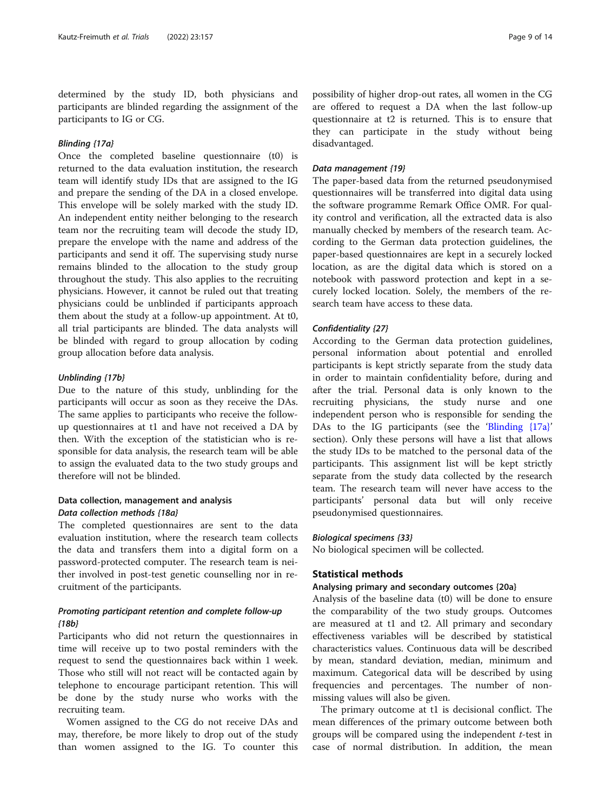determined by the study ID, both physicians and participants are blinded regarding the assignment of the participants to IG or CG.

## Blinding {17a}

Once the completed baseline questionnaire (t0) is returned to the data evaluation institution, the research team will identify study IDs that are assigned to the IG and prepare the sending of the DA in a closed envelope. This envelope will be solely marked with the study ID. An independent entity neither belonging to the research team nor the recruiting team will decode the study ID, prepare the envelope with the name and address of the participants and send it off. The supervising study nurse remains blinded to the allocation to the study group throughout the study. This also applies to the recruiting physicians. However, it cannot be ruled out that treating physicians could be unblinded if participants approach them about the study at a follow-up appointment. At t0, all trial participants are blinded. The data analysts will be blinded with regard to group allocation by coding group allocation before data analysis.

#### Unblinding {17b}

Due to the nature of this study, unblinding for the participants will occur as soon as they receive the DAs. The same applies to participants who receive the followup questionnaires at t1 and have not received a DA by then. With the exception of the statistician who is responsible for data analysis, the research team will be able to assign the evaluated data to the two study groups and therefore will not be blinded.

## Data collection, management and analysis Data collection methods {18a}

The completed questionnaires are sent to the data evaluation institution, where the research team collects the data and transfers them into a digital form on a password-protected computer. The research team is neither involved in post-test genetic counselling nor in recruitment of the participants.

## Promoting participant retention and complete follow-up {18b}

Participants who did not return the questionnaires in time will receive up to two postal reminders with the request to send the questionnaires back within 1 week. Those who still will not react will be contacted again by telephone to encourage participant retention. This will be done by the study nurse who works with the recruiting team.

Women assigned to the CG do not receive DAs and may, therefore, be more likely to drop out of the study than women assigned to the IG. To counter this

possibility of higher drop-out rates, all women in the CG are offered to request a DA when the last follow-up questionnaire at t2 is returned. This is to ensure that they can participate in the study without being disadvantaged.

#### Data management {19}

The paper-based data from the returned pseudonymised questionnaires will be transferred into digital data using the software programme Remark Office OMR. For quality control and verification, all the extracted data is also manually checked by members of the research team. According to the German data protection guidelines, the paper-based questionnaires are kept in a securely locked location, as are the digital data which is stored on a notebook with password protection and kept in a securely locked location. Solely, the members of the research team have access to these data.

#### Confidentiality {27}

According to the German data protection guidelines, personal information about potential and enrolled participants is kept strictly separate from the study data in order to maintain confidentiality before, during and after the trial. Personal data is only known to the recruiting physicians, the study nurse and one independent person who is responsible for sending the DAs to the IG participants (see the 'Blinding {17a}' section). Only these persons will have a list that allows the study IDs to be matched to the personal data of the participants. This assignment list will be kept strictly separate from the study data collected by the research team. The research team will never have access to the participants' personal data but will only receive pseudonymised questionnaires.

#### Biological specimens {33}

No biological specimen will be collected.

## Statistical methods

## Analysing primary and secondary outcomes {20a}

Analysis of the baseline data (t0) will be done to ensure the comparability of the two study groups. Outcomes are measured at t1 and t2. All primary and secondary effectiveness variables will be described by statistical characteristics values. Continuous data will be described by mean, standard deviation, median, minimum and maximum. Categorical data will be described by using frequencies and percentages. The number of nonmissing values will also be given.

The primary outcome at t1 is decisional conflict. The mean differences of the primary outcome between both groups will be compared using the independent  $t$ -test in case of normal distribution. In addition, the mean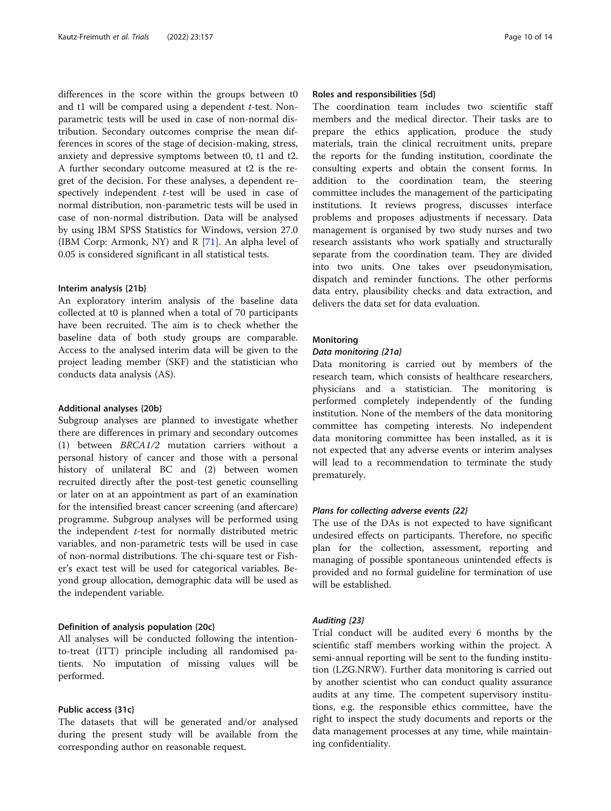differences in the score within the groups between t0 and  $t1$  will be compared using a dependent  $t$ -test. Nonparametric tests will be used in case of non-normal distribution. Secondary outcomes comprise the mean differences in scores of the stage of decision-making, stress, anxiety and depressive symptoms between t0, t1 and t2. A further secondary outcome measured at t2 is the regret of the decision. For these analyses, a dependent respectively independent t-test will be used in case of normal distribution, non-parametric tests will be used in case of non-normal distribution. Data will be analysed by using IBM SPSS Statistics for Windows, version 27.0 (IBM Corp: Armonk, NY) and R [\[71\]](#page-13-0). An alpha level of 0.05 is considered significant in all statistical tests.

#### Interim analysis {21b}

An exploratory interim analysis of the baseline data collected at t0 is planned when a total of 70 participants have been recruited. The aim is to check whether the baseline data of both study groups are comparable. Access to the analysed interim data will be given to the project leading member (SKF) and the statistician who conducts data analysis (AS).

## Additional analyses {20b}

Subgroup analyses are planned to investigate whether there are differences in primary and secondary outcomes (1) between BRCA1/2 mutation carriers without a personal history of cancer and those with a personal history of unilateral BC and (2) between women recruited directly after the post-test genetic counselling or later on at an appointment as part of an examination for the intensified breast cancer screening (and aftercare) programme. Subgroup analyses will be performed using the independent  $t$ -test for normally distributed metric variables, and non-parametric tests will be used in case of non-normal distributions. The chi-square test or Fisher's exact test will be used for categorical variables. Beyond group allocation, demographic data will be used as the independent variable.

## Definition of analysis population {20c}

All analyses will be conducted following the intentionto-treat (ITT) principle including all randomised patients. No imputation of missing values will be performed.

## Public access {31c}

The datasets that will be generated and/or analysed during the present study will be available from the corresponding author on reasonable request.

## Roles and responsibilities {5d}

The coordination team includes two scientific staff members and the medical director. Their tasks are to prepare the ethics application, produce the study materials, train the clinical recruitment units, prepare the reports for the funding institution, coordinate the consulting experts and obtain the consent forms. In addition to the coordination team, the steering committee includes the management of the participating institutions. It reviews progress, discusses interface problems and proposes adjustments if necessary. Data management is organised by two study nurses and two research assistants who work spatially and structurally separate from the coordination team. They are divided into two units. One takes over pseudonymisation, dispatch and reminder functions. The other performs data entry, plausibility checks and data extraction, and delivers the data set for data evaluation.

## **Monitoring**

## Data monitoring {21a}

Data monitoring is carried out by members of the research team, which consists of healthcare researchers, physicians and a statistician. The monitoring is performed completely independently of the funding institution. None of the members of the data monitoring committee has competing interests. No independent data monitoring committee has been installed, as it is not expected that any adverse events or interim analyses will lead to a recommendation to terminate the study prematurely.

## Plans for collecting adverse events {22}

The use of the DAs is not expected to have significant undesired effects on participants. Therefore, no specific plan for the collection, assessment, reporting and managing of possible spontaneous unintended effects is provided and no formal guideline for termination of use will be established.

## Auditing {23}

Trial conduct will be audited every 6 months by the scientific staff members working within the project. A semi-annual reporting will be sent to the funding institution (LZG.NRW). Further data monitoring is carried out by another scientist who can conduct quality assurance audits at any time. The competent supervisory institutions, e.g. the responsible ethics committee, have the right to inspect the study documents and reports or the data management processes at any time, while maintaining confidentiality.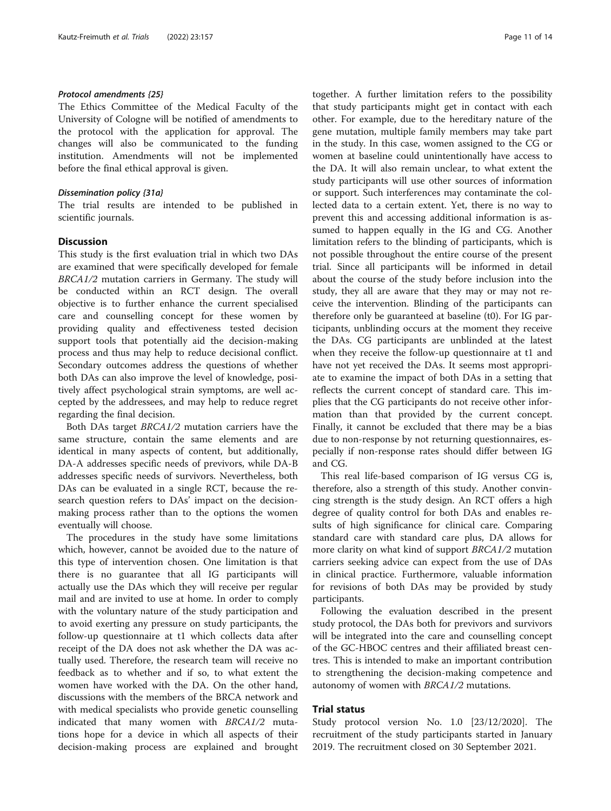## Protocol amendments {25}

The Ethics Committee of the Medical Faculty of the University of Cologne will be notified of amendments to the protocol with the application for approval. The changes will also be communicated to the funding institution. Amendments will not be implemented before the final ethical approval is given.

#### Dissemination policy {31a}

The trial results are intended to be published in scientific journals.

## **Discussion**

This study is the first evaluation trial in which two DAs are examined that were specifically developed for female BRCA1/2 mutation carriers in Germany. The study will be conducted within an RCT design. The overall objective is to further enhance the current specialised care and counselling concept for these women by providing quality and effectiveness tested decision support tools that potentially aid the decision-making process and thus may help to reduce decisional conflict. Secondary outcomes address the questions of whether both DAs can also improve the level of knowledge, positively affect psychological strain symptoms, are well accepted by the addressees, and may help to reduce regret regarding the final decision.

Both DAs target BRCA1/2 mutation carriers have the same structure, contain the same elements and are identical in many aspects of content, but additionally, DA-A addresses specific needs of previvors, while DA-B addresses specific needs of survivors. Nevertheless, both DAs can be evaluated in a single RCT, because the research question refers to DAs' impact on the decisionmaking process rather than to the options the women eventually will choose.

The procedures in the study have some limitations which, however, cannot be avoided due to the nature of this type of intervention chosen. One limitation is that there is no guarantee that all IG participants will actually use the DAs which they will receive per regular mail and are invited to use at home. In order to comply with the voluntary nature of the study participation and to avoid exerting any pressure on study participants, the follow-up questionnaire at t1 which collects data after receipt of the DA does not ask whether the DA was actually used. Therefore, the research team will receive no feedback as to whether and if so, to what extent the women have worked with the DA. On the other hand, discussions with the members of the BRCA network and with medical specialists who provide genetic counselling indicated that many women with BRCA1/2 mutations hope for a device in which all aspects of their decision-making process are explained and brought

together. A further limitation refers to the possibility that study participants might get in contact with each other. For example, due to the hereditary nature of the gene mutation, multiple family members may take part in the study. In this case, women assigned to the CG or women at baseline could unintentionally have access to the DA. It will also remain unclear, to what extent the study participants will use other sources of information or support. Such interferences may contaminate the collected data to a certain extent. Yet, there is no way to prevent this and accessing additional information is assumed to happen equally in the IG and CG. Another limitation refers to the blinding of participants, which is not possible throughout the entire course of the present trial. Since all participants will be informed in detail about the course of the study before inclusion into the study, they all are aware that they may or may not receive the intervention. Blinding of the participants can therefore only be guaranteed at baseline (t0). For IG participants, unblinding occurs at the moment they receive the DAs. CG participants are unblinded at the latest when they receive the follow-up questionnaire at t1 and have not yet received the DAs. It seems most appropriate to examine the impact of both DAs in a setting that reflects the current concept of standard care. This implies that the CG participants do not receive other information than that provided by the current concept. Finally, it cannot be excluded that there may be a bias due to non-response by not returning questionnaires, especially if non-response rates should differ between IG and CG.

This real life-based comparison of IG versus CG is, therefore, also a strength of this study. Another convincing strength is the study design. An RCT offers a high degree of quality control for both DAs and enables results of high significance for clinical care. Comparing standard care with standard care plus, DA allows for more clarity on what kind of support BRCA1/2 mutation carriers seeking advice can expect from the use of DAs in clinical practice. Furthermore, valuable information for revisions of both DAs may be provided by study participants.

Following the evaluation described in the present study protocol, the DAs both for previvors and survivors will be integrated into the care and counselling concept of the GC-HBOC centres and their affiliated breast centres. This is intended to make an important contribution to strengthening the decision-making competence and autonomy of women with BRCA1/2 mutations.

## Trial status

Study protocol version No. 1.0 [23/12/2020]. The recruitment of the study participants started in January 2019. The recruitment closed on 30 September 2021.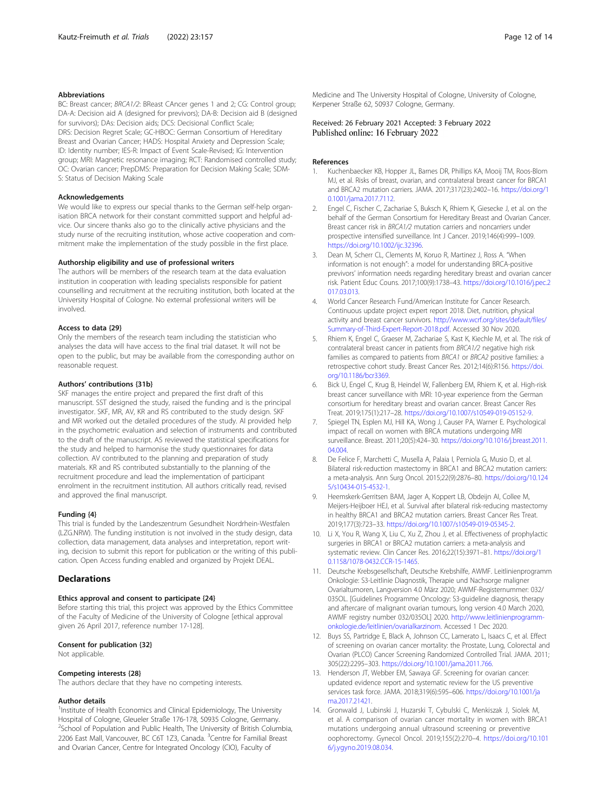#### <span id="page-11-0"></span>Abbreviations

BC: Breast cancer; BRCA1/2: BReast CAncer genes 1 and 2; CG: Control group; DA-A: Decision aid A (designed for previvors); DA-B: Decision aid B (designed for survivors); DAs: Decision aids; DCS: Decisional Conflict Scale; DRS: Decision Regret Scale; GC-HBOC: German Consortium of Hereditary Breast and Ovarian Cancer; HADS: Hospital Anxiety and Depression Scale; ID: Identity number; IES-R: Impact of Event Scale-Revised; IG: Intervention group; MRI: Magnetic resonance imaging; RCT: Randomised controlled study; OC: Ovarian cancer; PrepDMS: Preparation for Decision Making Scale; SDM-S: Status of Decision Making Scale

#### Acknowledgements

We would like to express our special thanks to the German self-help organisation BRCA network for their constant committed support and helpful advice. Our sincere thanks also go to the clinically active physicians and the study nurse of the recruiting institution, whose active cooperation and commitment make the implementation of the study possible in the first place.

#### Authorship eligibility and use of professional writers

The authors will be members of the research team at the data evaluation institution in cooperation with leading specialists responsible for patient counselling and recruitment at the recruiting institution, both located at the University Hospital of Cologne. No external professional writers will be involved.

#### Access to data {29}

Only the members of the research team including the statistician who analyses the data will have access to the final trial dataset. It will not be open to the public, but may be available from the corresponding author on reasonable request.

#### Authors' contributions {31b}

SKF manages the entire project and prepared the first draft of this manuscript. SST designed the study, raised the funding and is the principal investigator. SKF, MR, AV, KR and RS contributed to the study design. SKF and MR worked out the detailed procedures of the study. AI provided help in the psychometric evaluation and selection of instruments and contributed to the draft of the manuscript. AS reviewed the statistical specifications for the study and helped to harmonise the study questionnaires for data collection. AV contributed to the planning and preparation of study materials. KR and RS contributed substantially to the planning of the recruitment procedure and lead the implementation of participant enrolment in the recruitment institution. All authors critically read, revised and approved the final manuscript.

#### Funding {4}

This trial is funded by the Landeszentrum Gesundheit Nordrhein-Westfalen (LZG.NRW). The funding institution is not involved in the study design, data collection, data management, data analyses and interpretation, report writing, decision to submit this report for publication or the writing of this publication. Open Access funding enabled and organized by Projekt DEAL.

#### **Declarations**

#### Ethics approval and consent to participate {24}

Before starting this trial, this project was approved by the Ethics Committee of the Faculty of Medicine of the University of Cologne [ethical approval given 26 April 2017, reference number 17-128].

#### Consent for publication {32}

Not applicable.

#### Competing interests {28}

The authors declare that they have no competing interests.

#### Author details

<sup>1</sup>Institute of Health Economics and Clinical Epidemiology, The University Hospital of Cologne, Gleueler Straße 176-178, 50935 Cologne, Germany. <sup>2</sup> School of Population and Public Health, The University of British Columbia, 2206 East Mall, Vancouver, BC C6T 1Z3, Canada. <sup>3</sup>Centre for Familial Breast and Ovarian Cancer, Centre for Integrated Oncology (CIO), Faculty of

Medicine and The University Hospital of Cologne, University of Cologne, Kerpener Straße 62, 50937 Cologne, Germany.

## Received: 26 February 2021 Accepted: 3 February 2022 Published online: 16 February 2022

#### References

- 1. Kuchenbaecker KB, Hopper JL, Barnes DR, Phillips KA, Mooij TM, Roos-Blom MJ, et al. Risks of breast, ovarian, and contralateral breast cancer for BRCA1 and BRCA2 mutation carriers. JAMA. 2017;317(23):2402–16. [https://doi.org/1](https://doi.org/10.1001/jama.2017.7112) [0.1001/jama.2017.7112.](https://doi.org/10.1001/jama.2017.7112)
- 2. Engel C, Fischer C, Zachariae S, Buksch K, Rhiem K, Giesecke J, et al. on the behalf of the German Consortium for Hereditary Breast and Ovarian Cancer. Breast cancer risk in BRCA1/2 mutation carriers and noncarriers under prospective intensified surveillance. Int J Cancer. 2019;146(4):999–1009. <https://doi.org/10.1002/ijc.32396>.
- 3. Dean M, Scherr CL, Clements M, Koruo R, Martinez J, Ross A. "When information is not enough": a model for understanding BRCA-positive previvors' information needs regarding hereditary breast and ovarian cancer risk. Patient Educ Couns. 2017;100(9):1738–43. [https://doi.org/10.1016/j.pec.2](https://doi.org/10.1016/j.pec.2017.03.013) [017.03.013](https://doi.org/10.1016/j.pec.2017.03.013).
- 4. World Cancer Research Fund/American Institute for Cancer Research. Continuous update project expert report 2018. Diet, nutrition, physical activity and breast cancer survivors. [http://www.wcrf.org/sites/default/files/](http://www.wcrf.org/sites/default/files/Summary-of-Third-Expert-Report-2018.pdf) [Summary-of-Third-Expert-Report-2018.pdf](http://www.wcrf.org/sites/default/files/Summary-of-Third-Expert-Report-2018.pdf). Accessed 30 Nov 2020.
- 5. Rhiem K, Engel C, Graeser M, Zachariae S, Kast K, Kiechle M, et al. The risk of contralateral breast cancer in patients from BRCA1/2 negative high risk families as compared to patients from BRCA1 or BRCA2 positive families: a retrospective cohort study. Breast Cancer Res. 2012;14(6):R156. [https://doi.](https://doi.org/10.1186/bcr3369) [org/10.1186/bcr3369.](https://doi.org/10.1186/bcr3369)
- 6. Bick U, Engel C, Krug B, Heindel W, Fallenberg EM, Rhiem K, et al. High-risk breast cancer surveillance with MRI: 10-year experience from the German consortium for hereditary breast and ovarian cancer. Breast Cancer Res Treat. 2019;175(1):217–28. <https://doi.org/10.1007/s10549-019-05152-9>.
- 7. Spiegel TN, Esplen MJ, Hill KA, Wong J, Causer PA, Warner E. Psychological impact of recall on women with BRCA mutations undergoing MRI surveillance. Breast. 2011;20(5):424–30. [https://doi.org/10.1016/j.breast.2011.](https://doi.org/10.1016/j.breast.2011.04.004) [04.004](https://doi.org/10.1016/j.breast.2011.04.004).
- De Felice F, Marchetti C, Musella A, Palaia I, Perniola G, Musio D, et al. Bilateral risk-reduction mastectomy in BRCA1 and BRCA2 mutation carriers: a meta-analysis. Ann Surg Oncol. 2015;22(9):2876–80. [https://doi.org/10.124](https://doi.org/10.1245/s10434-015-4532-1) [5/s10434-015-4532-1.](https://doi.org/10.1245/s10434-015-4532-1)
- 9. Heemskerk-Gerritsen BAM, Jager A, Koppert LB, Obdeijn AI, Collee M, Meijers-Heijboer HEJ, et al. Survival after bilateral risk-reducing mastectomy in healthy BRCA1 and BRCA2 mutation carriers. Breast Cancer Res Treat. 2019;177(3):723–33. [https://doi.org/10.1007/s10549-019-05345-2.](https://doi.org/10.1007/s10549-019-05345-2)
- 10. Li X, You R, Wang X, Liu C, Xu Z, Zhou J, et al. Effectiveness of prophylactic surgeries in BRCA1 or BRCA2 mutation carriers: a meta-analysis and systematic review. Clin Cancer Res. 2016;22(15):3971–81. [https://doi.org/1](https://doi.org/10.1158/1078-0432.CCR-15-1465) [0.1158/1078-0432.CCR-15-1465](https://doi.org/10.1158/1078-0432.CCR-15-1465).
- 11. Deutsche Krebsgesellschaft, Deutsche Krebshilfe, AWMF. Leitlinienprogramm Onkologie: S3-Leitlinie Diagnostik, Therapie und Nachsorge maligner Ovarialtumoren, Langversion 4.0 März 2020; AWMF-Registernummer: 032/ 035OL. [Guidelines Programme Oncology: S3-guideline diagnosis, therapy and aftercare of malignant ovarian tumours, long version 4.0 March 2020, AWMF registry number 032/035OL] 2020. [http://www.leitlinienprogramm](http://www.leitlinienprogramm-onkologie.de/leitlinien/ovarialkarzinom)[onkologie.de/leitlinien/ovarialkarzinom.](http://www.leitlinienprogramm-onkologie.de/leitlinien/ovarialkarzinom) Accessed 1 Dec 2020.
- 12. Buys SS, Partridge E, Black A, Johnson CC, Lamerato L, Isaacs C, et al. Effect of screening on ovarian cancer mortality: the Prostate, Lung, Colorectal and Ovarian (PLCO) Cancer Screening Randomized Controlled Trial. JAMA. 2011; 305(22):2295–303. [https://doi.org/10.1001/jama.2011.766.](https://doi.org/10.1001/jama.2011.766)
- 13. Henderson JT, Webber EM, Sawaya GF. Screening for ovarian cancer: updated evidence report and systematic review for the US preventive services task force. JAMA. 2018;319(6):595–606. [https://doi.org/10.1001/ja](https://doi.org/10.1001/jama.2017.21421) [ma.2017.21421.](https://doi.org/10.1001/jama.2017.21421)
- 14. Gronwald J, Lubinski J, Huzarski T, Cybulski C, Menkiszak J, Siolek M, et al. A comparison of ovarian cancer mortality in women with BRCA1 mutations undergoing annual ultrasound screening or preventive oophorectomy. Gynecol Oncol. 2019;155(2):270–4. [https://doi.org/10.101](https://doi.org/10.1016/j.ygyno.2019.08.034) [6/j.ygyno.2019.08.034](https://doi.org/10.1016/j.ygyno.2019.08.034).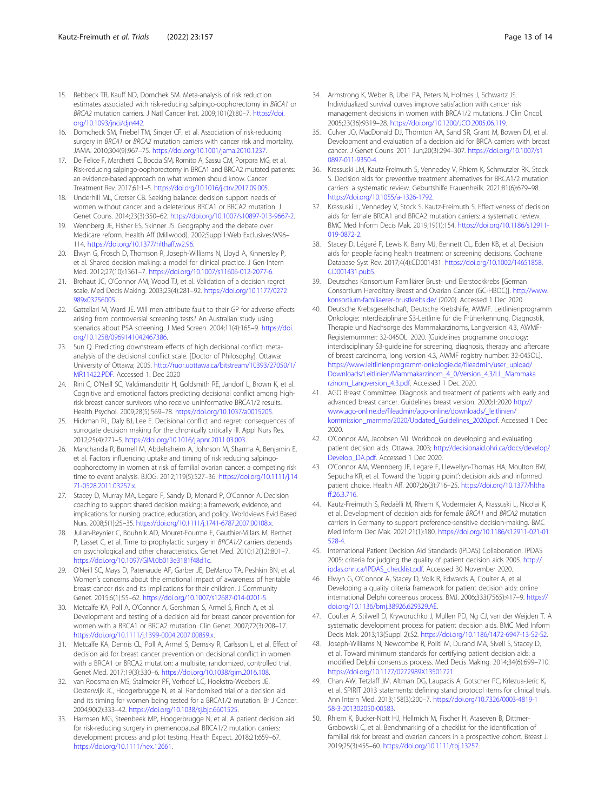- <span id="page-12-0"></span>15. Rebbeck TR, Kauff ND, Domchek SM. Meta-analysis of risk reduction estimates associated with risk-reducing salpingo-oophorectomy in BRCA1 or BRCA2 mutation carriers. J Natl Cancer Inst. 2009;101(2):80–7. [https://doi.](https://doi.org/10.1093/jnci/djn442) [org/10.1093/jnci/djn442.](https://doi.org/10.1093/jnci/djn442)
- 16. Domcheck SM, Friebel TM, Singer CF, et al. Association of risk-reducing surgery in BRCA1 or BRCA2 mutation carriers with cancer risk and mortality. JAMA. 2010;304(9):967–75. <https://doi.org/10.1001/jama.2010.1237>.
- 17. De Felice F, Marchetti C, Boccia SM, Romito A, Sassu CM, Porpora MG, et al. Risk-reducing salpingo-oophorectomy in BRCA1 and BRCA2 mutated patients: an evidence-based approach on what women should know. Cancer Treatment Rev. 2017;61:1–5. <https://doi.org/10.1016/j.ctrv.2017.09.005>.
- 18. Underhill ML, Crotser CB. Seeking balance: decision support needs of women without cancer and a deleterious BRCA1 or BRCA2 mutation. J Genet Couns. 2014;23(3):350–62. [https://doi.org/10.1007/s10897-013-9667-2.](https://doi.org/10.1007/s10897-013-9667-2)
- 19. Wennberg JE, Fisher ES, Skinner JS. Geography and the debate over Medicare reform. Health Aff (Millwood). 2002;Suppl1:Web Exclusives:W96– 114. <https://doi.org/10.1377/hlthaff.w2.96>.
- 20. Elwyn G, Frosch D, Thomson R, Joseph-Williams N, Lloyd A, Kinnersley P, et al. Shared decision making: a model for clinical practice. J Gen Intern Med. 2012;27(10):1361–7. <https://doi.org/10.1007/s11606-012-2077-6>.
- 21. Brehaut JC, O'Connor AM, Wood TJ, et al. Validation of a decision regret scale. Med Decis Making. 2003;23(4):281–92. [https://doi.org/10.1177/0272](https://doi.org/10.1177/0272989x03256005) [989x03256005](https://doi.org/10.1177/0272989x03256005).
- 22. Gattellari M, Ward JE. Will men attribute fault to their GP for adverse effects arising from controversial screening tests? An Australian study using scenarios about PSA screening. J Med Screen. 2004;11(4):165–9. [https://doi.](https://doi.org/10.1258/0969141042467386) [org/10.1258/0969141042467386.](https://doi.org/10.1258/0969141042467386)
- 23. Sun Q. Predicting downstream effects of high decisional conflict: metaanalysis of the decisional conflict scale. [Doctor of Philosophy]. Ottawa: University of Ottawa; 2005. [http://ruor.uottawa.ca/bitstream/10393/27050/1/](http://ruor.uottawa.ca/bitstream/10393/27050/1/MR11422.PDF) [MR11422.PDF](http://ruor.uottawa.ca/bitstream/10393/27050/1/MR11422.PDF). Accessed 1. Dec 2020
- 24. Rini C, O'Neill SC, Valdimarsdottir H, Goldsmith RE, Jandorf L, Brown K, et al. Cognitive and emotional factors predicting decisional conflict among highrisk breast cancer survivors who receive uninformative BRCA1/2 results. Health Psychol. 2009;28(5):569–78. <https://doi.org/10.1037/a0015205>.
- 25. Hickman RL, Daly BJ, Lee E. Decisional conflict and regret: consequences of surrogate decision making for the chronically critically ill. Appl Nurs Res. 2012;25(4):271–5. <https://doi.org/10.1016/j.apnr.2011.03.003>.
- 26. Manchanda R, Burnell M, Abdelraheim A, Johnson M, Sharma A, Benjamin E, et al. Factors influencing uptake and timing of risk reducing salpingooophorectomy in women at risk of familial ovarian cancer: a competing risk time to event analysis. BJOG. 2012;119(5):527–36. [https://doi.org/10.1111/j.14](https://doi.org/10.1111/j.1471-0528.2011.03257.x) [71-0528.2011.03257.x.](https://doi.org/10.1111/j.1471-0528.2011.03257.x)
- 27. Stacey D, Murray MA, Legare F, Sandy D, Menard P, O'Connor A. Decision coaching to support shared decision making: a framework, evidence, and implications for nursing practice, education, and policy. Worldviews Evid Based Nurs. 2008;5(1):25–35. [https://doi.org/10.1111/j.1741-6787.2007.00108.x.](https://doi.org/10.1111/j.1741-6787.2007.00108.x)
- 28. Julian-Reynier C, Bouhnik AD, Mouret-Fourme E, Gauthier-Villars M, Berthet P, Lasset C, et al. Time to prophylactic surgery in BRCA1/2 carriers depends on psychological and other characteristics. Genet Med. 2010;12(12):801–7. <https://doi.org/10.1097/GIM.0b013e3181f48d1c>.
- 29. O'Neill SC, Mays D, Patenaude AF, Garber JE, DeMarco TA, Peshkin BN, et al. Women's concerns about the emotional impact of awareness of heritable breast cancer risk and its implications for their children. J Community Genet. 2015;6(1):55–62. [https://doi.org/10.1007/s12687-014-0201-5.](https://doi.org/10.1007/s12687-014-0201-5)
- 30. Metcalfe KA, Poll A, O'Connor A, Gershman S, Armel S, Finch A, et al. Development and testing of a decision aid for breast cancer prevention for women with a BRCA1 or BRCA2 mutation. Clin Genet. 2007;72(3):208–17. <https://doi.org/10.1111/j.1399-0004.2007.00859.x>.
- 31. Metcalfe KA, Dennis CL, Poll A, Armel S, Demsky R, Carlsson L, et al. Effect of decision aid for breast cancer prevention on decisional conflict in women with a BRCA1 or BRCA2 mutation: a multisite, randomized, controlled trial. Genet Med. 2017;19(3):330–6. <https://doi.org/10.1038/gim.2016.108>.
- 32. van Roosmalen MS, Stalmeier PF, Verhoef LC, Hoekstra-Weebers JE, Oosterwijk JC, Hoogerbrugge N, et al. Randomised trial of a decision aid and its timing for women being tested for a BRCA1/2 mutation. Br J Cancer. 2004;90(2):333–42. [https://doi.org/10.1038/sj.bjc.6601525.](https://doi.org/10.1038/sj.bjc.6601525)
- 33. Harmsen MG, Steenbeek MP, Hoogerbrugge N, et al. A patient decision aid for risk-reducing surgery in premenopausal BRCA1/2 mutation carriers: development process and pilot testing. Health Expect. 2018;21:659–67. <https://doi.org/10.1111/hex.12661>.
- 34. Armstrong K, Weber B, Ubel PA, Peters N, Holmes J, Schwartz JS. Individualized survival curves improve satisfaction with cancer risk management decisions in women with BRCA1/2 mutations. J Clin Oncol. 2005;23(36):9319–28. <https://doi.org/10.1200/JCO.2005.06.119>.
- 35. Culver JO, MacDonald DJ, Thornton AA, Sand SR, Grant M, Bowen DJ, et al. Development and evaluation of a decision aid for BRCA carriers with breast cancer. J Genet Couns. 2011 Jun;20(3):294–307. [https://doi.org/10.1007/s1](https://doi.org/10.1007/s10897-011-9350-4) [0897-011-9350-4.](https://doi.org/10.1007/s10897-011-9350-4)
- 36. Krassuski LM, Kautz-Freimuth S, Vennedey V, Rhiem K, Schmutzler RK, Stock S. Decision aids for preventive treatment alternatives for BRCA1/2 mutation carriers: a systematic review. Geburtshilfe Frauenheilk. 2021;81(6):679–98. [https://doi.org/10.1055/a-1326-1792.](https://doi.org/10.1055/a-1326-1792)
- 37. Krassuski L, Vennedey V, Stock S, Kautz-Freimuth S. Effectiveness of decision aids for female BRCA1 and BRCA2 mutation carriers: a systematic review. BMC Med Inform Decis Mak. 2019;19(1):154. [https://doi.org/10.1186/s12911-](https://doi.org/10.1186/s12911-019-0872-2) [019-0872-2](https://doi.org/10.1186/s12911-019-0872-2).
- 38. Stacey D, Légaré F, Lewis K, Barry MJ, Bennett CL, Eden KB, et al. Decision aids for people facing health treatment or screening decisions. Cochrane Database Syst Rev. 2017;4(4):CD001431. [https://doi.org/10.1002/14651858.](https://doi.org/10.1002/14651858.CD001431.pub5) [CD001431.pub5.](https://doi.org/10.1002/14651858.CD001431.pub5)
- 39. Deutsches Konsortium Familiärer Brust- und Eierstockkrebs [German Consortium Hereditary Breast and Ovarian Cancer (GC-HBOC)]. [http://www.](http://www.konsortium-familiaerer-brustkrebs.de/) [konsortium-familiaerer-brustkrebs.de/](http://www.konsortium-familiaerer-brustkrebs.de/) (2020). Accessed 1 Dec 2020.
- 40. Deutsche Krebsgesellschaft, Deutsche Krebshilfe, AWMF. Leitlinienprogramm Onkologie: Interdisziplinäre S3-Leitlinie für die Früherkennung, Diagnostik, Therapie und Nachsorge des Mammakarzinoms, Langversion 4.3, AWMF-Registernummer: 32-045OL. 2020. [Guidelines programme oncology: interdisciplinary S3-guideline for screening, diagnosis, therapy and aftercare of breast carcinoma, long version 4.3, AWMF registry number: 32-045OL]. [https://www.leitlinienprogramm-onkologie.de/fileadmin/user\\_upload/](https://www.leitlinienprogramm-onkologie.de/fileadmin/user_upload/Downloads/Leitlinien/Mammakarzinom_4_0/Version_4.3/LL_Mammakarzinom_Langversion_4.3.pdf) [Downloads/Leitlinien/Mammakarzinom\\_4\\_0/Version\\_4.3/LL\\_Mammaka](https://www.leitlinienprogramm-onkologie.de/fileadmin/user_upload/Downloads/Leitlinien/Mammakarzinom_4_0/Version_4.3/LL_Mammakarzinom_Langversion_4.3.pdf) [rzinom\\_Langversion\\_4.3.pdf.](https://www.leitlinienprogramm-onkologie.de/fileadmin/user_upload/Downloads/Leitlinien/Mammakarzinom_4_0/Version_4.3/LL_Mammakarzinom_Langversion_4.3.pdf) Accessed 1 Dec 2020.
- 41. AGO Breast Committee. Diagnosis and treatment of patients with early and advanced breast cancer. Guidelines breast version. 2020;1:2020 [http://](http://www.ago-online.de/fileadmin/ago-online/downloads/_leitlinien/kommission_mamma/2020/Updated_Guidelines_2020.pdf) [www.ago-online.de/fileadmin/ago-online/downloads/\\_leitlinien/](http://www.ago-online.de/fileadmin/ago-online/downloads/_leitlinien/kommission_mamma/2020/Updated_Guidelines_2020.pdf) [kommission\\_mamma/2020/Updated\\_Guidelines\\_2020.pdf.](http://www.ago-online.de/fileadmin/ago-online/downloads/_leitlinien/kommission_mamma/2020/Updated_Guidelines_2020.pdf) Accessed 1 Dec 2020.
- 42. O'Connor AM, Jacobsen MJ. Workbook on developing and evaluating patient decision aids. Ottawa. 2003; [http://decisionaid.ohri.ca/docs/develop/](http://decisionaid.ohri.ca/docs/develop/Develop_DA.pdf) [Develop\\_DA.pdf.](http://decisionaid.ohri.ca/docs/develop/Develop_DA.pdf) Accessed 1 Dec 2020.
- 43. O'Connor AM, Wennberg JE, Legare F, Llewellyn-Thomas HA, Moulton BW, Sepucha KR, et al. Toward the 'tipping point': decision aids and informed patient choice. Health Aff. 2007;26(3):716–25. [https://doi.org/10.1377/hltha](https://doi.org/10.1377/hlthaff.26.3.716) [ff.26.3.716](https://doi.org/10.1377/hlthaff.26.3.716).
- 44. Kautz-Freimuth S, Redaèlli M, Rhiem K, Vodermaier A, Krassuski L, Nicolai K, et al. Development of decision aids for female BRCA1 and BRCA2 mutation carriers in Germany to support preference-sensitive decision-making. BMC Med Inform Dec Mak. 2021;21(1):180. [https://doi.org/10.1186/s12911-021-01](https://doi.org/10.1186/s12911-021-01528-4) [528-4](https://doi.org/10.1186/s12911-021-01528-4).
- 45. International Patient Decision Aid Standards (IPDAS) Collaboration. IPDAS 2005: criteria for judging the quality of patient decision aids 2005. [http://](http://ipdas.ohri.ca/IPDAS_checklist.pdf) [ipdas.ohri.ca/IPDAS\\_checklist.pdf](http://ipdas.ohri.ca/IPDAS_checklist.pdf). Accessed 30 November 2020.
- 46. Elwyn G, O'Connor A, Stacey D, Volk R, Edwards A, Coulter A, et al. Developing a quality criteria framework for patient decision aids: online international Delphi consensus process. BMJ. 2006;333(7565):417–9. [https://](https://doi.org/10.1136/bmj.38926.629329.AE) [doi.org/10.1136/bmj.38926.629329.AE.](https://doi.org/10.1136/bmj.38926.629329.AE)
- 47. Coulter A, Stilwell D, Kryworuchko J, Mullen PD, Ng CJ, van der Weijden T. A systematic development process for patient decision aids. BMC Med Inform Decis Mak. 2013;13(Suppl 2):S2. <https://doi.org/10.1186/1472-6947-13-S2-S2>.
- 48. Joseph-Williams N, Newcombe R, Politi M, Durand MA, Sivell S, Stacey D, et al. Toward minimum standards for certifying patient decision aids: a modified Delphi consensus process. Med Decis Making. 2014;34(6):699–710. [https://doi.org/10.1177/0272989X13501721.](https://doi.org/10.1177/0272989X13501721)
- 49. Chan AW, Tetzlaff JM, Altman DG, Laupacis A, Gotscher PC, Krlezua-Jeric K, et al. SPIRIT 2013 statements: defining stand protocol items for clinical trials. Ann Intern Med. 2013;158(3):200–7. [https://doi.org/10.7326/0003-4819-1](https://doi.org/10.7326/0003-4819-158-3-201302050-00583) [58-3-201302050-00583.](https://doi.org/10.7326/0003-4819-158-3-201302050-00583)
- 50. Rhiem K, Bucker-Nott HJ, Hellmich M, Fischer H, Ataseven B, Dittmer-Grabowski C, et al. Benchmarking of a checklist for the identification of familial risk for breast and ovarian cancers in a prospective cohort. Breast J. 2019;25(3):455–60. [https://doi.org/10.1111/tbj.13257.](https://doi.org/10.1111/tbj.13257)